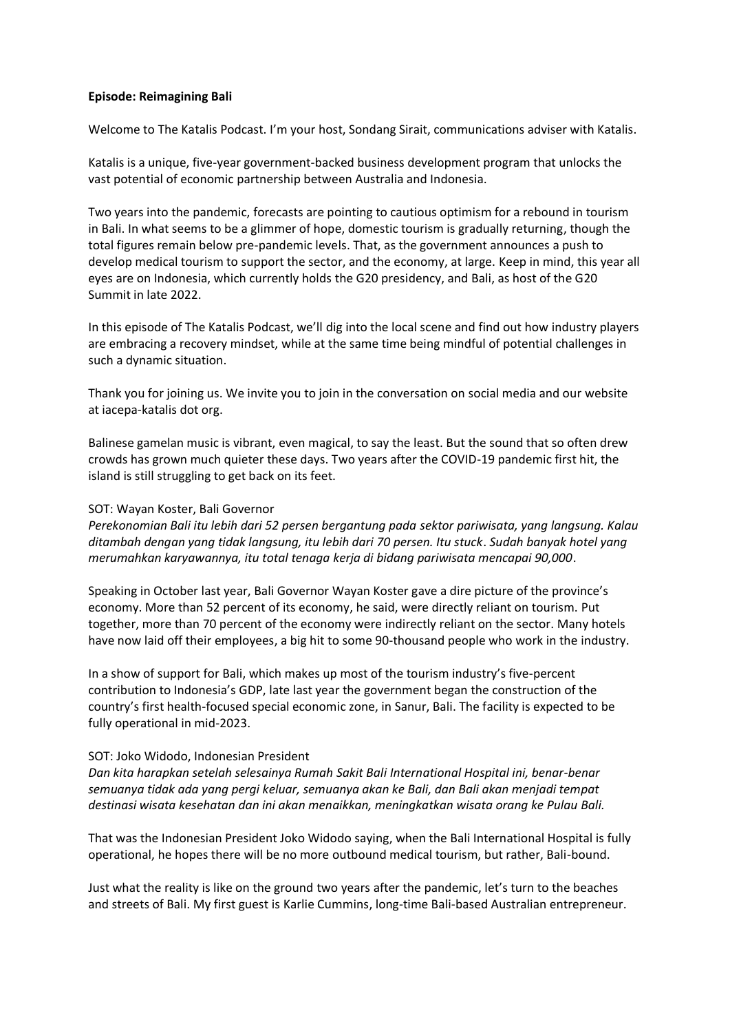## **Episode: Reimagining Bali**

Welcome to The Katalis Podcast. I'm your host, Sondang Sirait, communications adviser with Katalis.

Katalis is a unique, five-year government-backed business development program that unlocks the vast potential of economic partnership between Australia and Indonesia.

Two years into the pandemic, forecasts are pointing to cautious optimism for a rebound in tourism in Bali. In what seems to be a glimmer of hope, domestic tourism is gradually returning, though the total figures remain below pre-pandemic levels. That, as the government announces a push to develop medical tourism to support the sector, and the economy, at large. Keep in mind, this year all eyes are on Indonesia, which currently holds the G20 presidency, and Bali, as host of the G20 Summit in late 2022.

In this episode of The Katalis Podcast, we'll dig into the local scene and find out how industry players are embracing a recovery mindset, while at the same time being mindful of potential challenges in such a dynamic situation.

Thank you for joining us. We invite you to join in the conversation on social media and our website at iacepa-katalis dot org.

Balinese gamelan music is vibrant, even magical, to say the least. But the sound that so often drew crowds has grown much quieter these days. Two years after the COVID-19 pandemic first hit, the island is still struggling to get back on its feet.

## SOT: Wayan Koster, Bali Governor

*Perekonomian Bali itu lebih dari 52 persen bergantung pada sektor pariwisata, yang langsung. Kalau ditambah dengan yang tidak langsung, itu lebih dari 70 persen. Itu stuck*. *Sudah banyak hotel yang merumahkan karyawannya, itu total tenaga kerja di bidang pariwisata mencapai 90,000*.

Speaking in October last year, Bali Governor Wayan Koster gave a dire picture of the province's economy. More than 52 percent of its economy, he said, were directly reliant on tourism. Put together, more than 70 percent of the economy were indirectly reliant on the sector. Many hotels have now laid off their employees, a big hit to some 90-thousand people who work in the industry.

In a show of support for Bali, which makes up most of the tourism industry's five-percent contribution to Indonesia's GDP, late last year the government began the construction of the country's first health-focused special economic zone, in Sanur, Bali. The facility is expected to be fully operational in mid-2023.

## SOT: Joko Widodo, Indonesian President

*Dan kita harapkan setelah selesainya Rumah Sakit Bali International Hospital ini, benar-benar semuanya tidak ada yang pergi keluar, semuanya akan ke Bali, dan Bali akan menjadi tempat destinasi wisata kesehatan dan ini akan menaikkan, meningkatkan wisata orang ke Pulau Bali.* 

That was the Indonesian President Joko Widodo saying, when the Bali International Hospital is fully operational, he hopes there will be no more outbound medical tourism, but rather, Bali-bound.

Just what the reality is like on the ground two years after the pandemic, let's turn to the beaches and streets of Bali. My first guest is Karlie Cummins, long-time Bali-based Australian entrepreneur.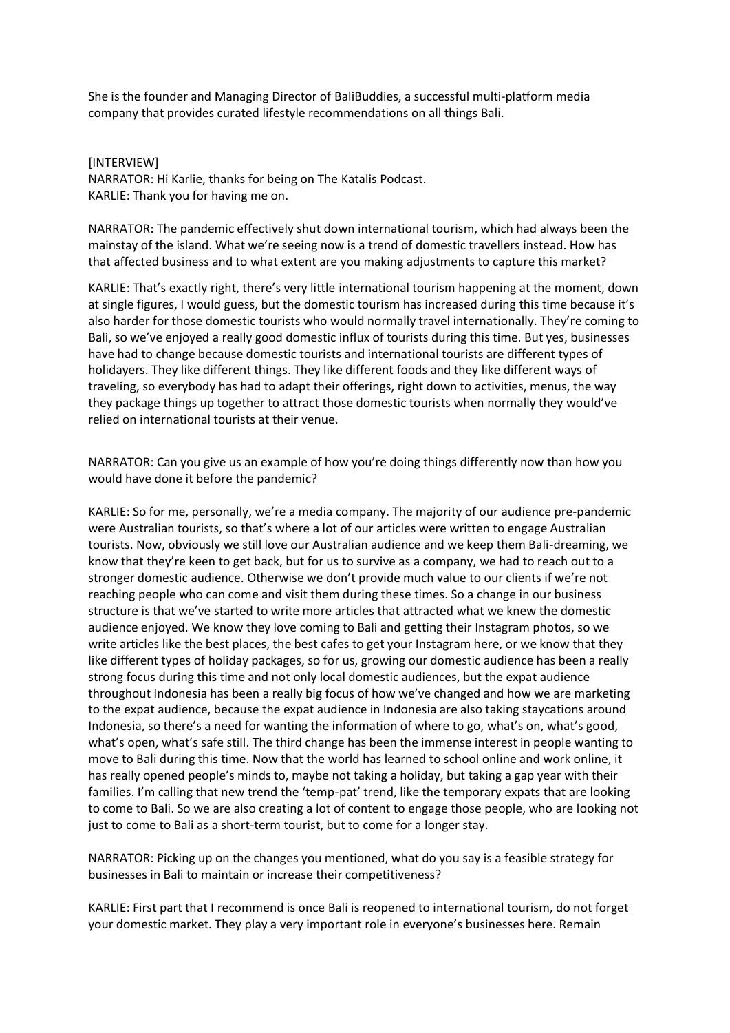She is the founder and Managing Director of BaliBuddies, a successful multi-platform media company that provides curated lifestyle recommendations on all things Bali.

[INTERVIEW]

NARRATOR: Hi Karlie, thanks for being on The Katalis Podcast. KARLIE: Thank you for having me on.

NARRATOR: The pandemic effectively shut down international tourism, which had always been the mainstay of the island. What we're seeing now is a trend of domestic travellers instead. How has that affected business and to what extent are you making adjustments to capture this market?

KARLIE: That's exactly right, there's very little international tourism happening at the moment, down at single figures, I would guess, but the domestic tourism has increased during this time because it's also harder for those domestic tourists who would normally travel internationally. They're coming to Bali, so we've enjoyed a really good domestic influx of tourists during this time. But yes, businesses have had to change because domestic tourists and international tourists are different types of holidayers. They like different things. They like different foods and they like different ways of traveling, so everybody has had to adapt their offerings, right down to activities, menus, the way they package things up together to attract those domestic tourists when normally they would've relied on international tourists at their venue.

NARRATOR: Can you give us an example of how you're doing things differently now than how you would have done it before the pandemic?

KARLIE: So for me, personally, we're a media company. The majority of our audience pre-pandemic were Australian tourists, so that's where a lot of our articles were written to engage Australian tourists. Now, obviously we still love our Australian audience and we keep them Bali-dreaming, we know that they're keen to get back, but for us to survive as a company, we had to reach out to a stronger domestic audience. Otherwise we don't provide much value to our clients if we're not reaching people who can come and visit them during these times. So a change in our business structure is that we've started to write more articles that attracted what we knew the domestic audience enjoyed. We know they love coming to Bali and getting their Instagram photos, so we write articles like the best places, the best cafes to get your Instagram here, or we know that they like different types of holiday packages, so for us, growing our domestic audience has been a really strong focus during this time and not only local domestic audiences, but the expat audience throughout Indonesia has been a really big focus of how we've changed and how we are marketing to the expat audience, because the expat audience in Indonesia are also taking staycations around Indonesia, so there's a need for wanting the information of where to go, what's on, what's good, what's open, what's safe still. The third change has been the immense interest in people wanting to move to Bali during this time. Now that the world has learned to school online and work online, it has really opened people's minds to, maybe not taking a holiday, but taking a gap year with their families. I'm calling that new trend the 'temp-pat' trend, like the temporary expats that are looking to come to Bali. So we are also creating a lot of content to engage those people, who are looking not just to come to Bali as a short-term tourist, but to come for a longer stay.

NARRATOR: Picking up on the changes you mentioned, what do you say is a feasible strategy for businesses in Bali to maintain or increase their competitiveness?

KARLIE: First part that I recommend is once Bali is reopened to international tourism, do not forget your domestic market. They play a very important role in everyone's businesses here. Remain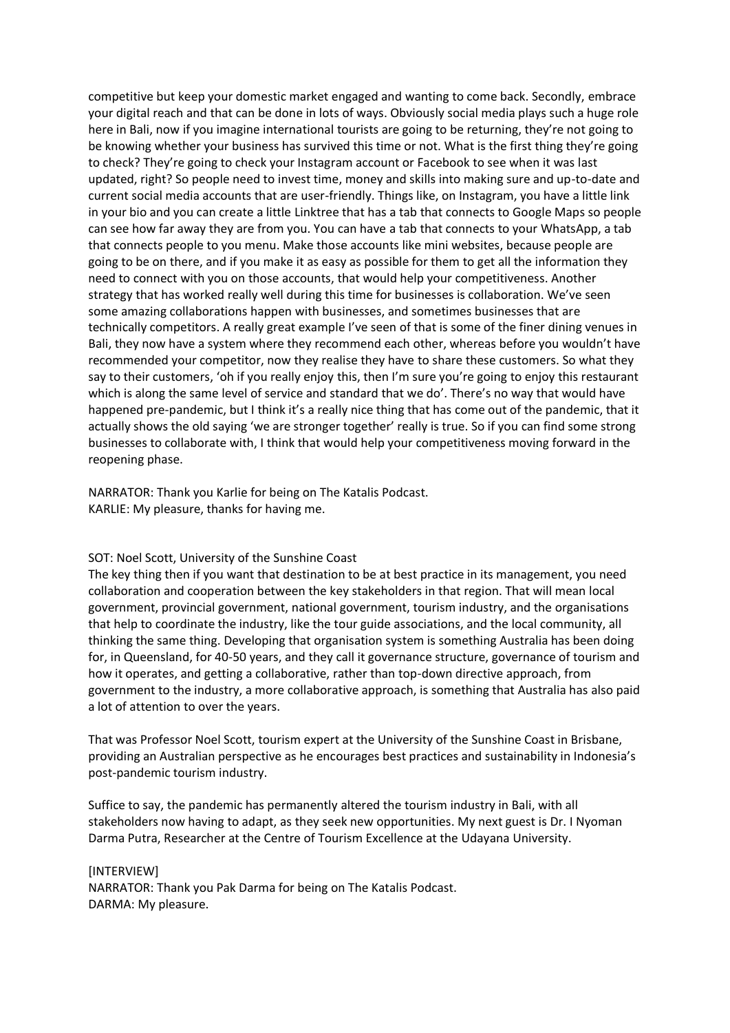competitive but keep your domestic market engaged and wanting to come back. Secondly, embrace your digital reach and that can be done in lots of ways. Obviously social media plays such a huge role here in Bali, now if you imagine international tourists are going to be returning, they're not going to be knowing whether your business has survived this time or not. What is the first thing they're going to check? They're going to check your Instagram account or Facebook to see when it was last updated, right? So people need to invest time, money and skills into making sure and up-to-date and current social media accounts that are user-friendly. Things like, on Instagram, you have a little link in your bio and you can create a little Linktree that has a tab that connects to Google Maps so people can see how far away they are from you. You can have a tab that connects to your WhatsApp, a tab that connects people to you menu. Make those accounts like mini websites, because people are going to be on there, and if you make it as easy as possible for them to get all the information they need to connect with you on those accounts, that would help your competitiveness. Another strategy that has worked really well during this time for businesses is collaboration. We've seen some amazing collaborations happen with businesses, and sometimes businesses that are technically competitors. A really great example I've seen of that is some of the finer dining venues in Bali, they now have a system where they recommend each other, whereas before you wouldn't have recommended your competitor, now they realise they have to share these customers. So what they say to their customers, 'oh if you really enjoy this, then I'm sure you're going to enjoy this restaurant which is along the same level of service and standard that we do'. There's no way that would have happened pre-pandemic, but I think it's a really nice thing that has come out of the pandemic, that it actually shows the old saying 'we are stronger together' really is true. So if you can find some strong businesses to collaborate with, I think that would help your competitiveness moving forward in the reopening phase.

NARRATOR: Thank you Karlie for being on The Katalis Podcast. KARLIE: My pleasure, thanks for having me.

## SOT: Noel Scott, University of the Sunshine Coast

The key thing then if you want that destination to be at best practice in its management, you need collaboration and cooperation between the key stakeholders in that region. That will mean local government, provincial government, national government, tourism industry, and the organisations that help to coordinate the industry, like the tour guide associations, and the local community, all thinking the same thing. Developing that organisation system is something Australia has been doing for, in Queensland, for 40-50 years, and they call it governance structure, governance of tourism and how it operates, and getting a collaborative, rather than top-down directive approach, from government to the industry, a more collaborative approach, is something that Australia has also paid a lot of attention to over the years.

That was Professor Noel Scott, tourism expert at the University of the Sunshine Coast in Brisbane, providing an Australian perspective as he encourages best practices and sustainability in Indonesia's post-pandemic tourism industry.

Suffice to say, the pandemic has permanently altered the tourism industry in Bali, with all stakeholders now having to adapt, as they seek new opportunities. My next guest is Dr. I Nyoman Darma Putra, Researcher at the Centre of Tourism Excellence at the Udayana University.

[INTERVIEW] NARRATOR: Thank you Pak Darma for being on The Katalis Podcast. DARMA: My pleasure.